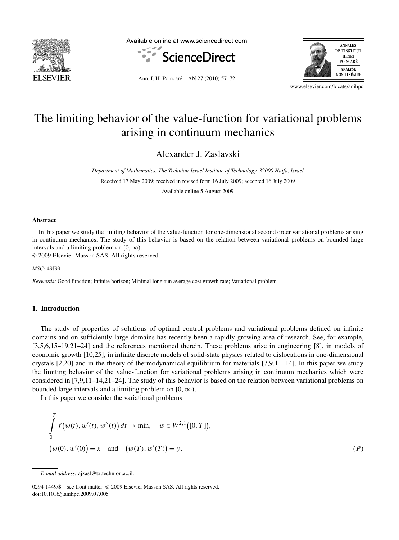

Available online at www.sciencedirect.com





Ann. I. H. Poincaré – AN 27 (2010) 57–72

www.elsevier.com/locate/anihpc

# The limiting behavior of the value-function for variational problems arising in continuum mechanics

Alexander J. Zaslavski

*Department of Mathematics, The Technion-Israel Institute of Technology, 32000 Haifa, Israel* Received 17 May 2009; received in revised form 16 July 2009; accepted 16 July 2009

Available online 5 August 2009

#### **Abstract**

In this paper we study the limiting behavior of the value-function for one-dimensional second order variational problems arising in continuum mechanics. The study of this behavior is based on the relation between variational problems on bounded large intervals and a limiting problem on  $[0, \infty)$ .

© 2009 Elsevier Masson SAS. All rights reserved.

*MSC:* 49J99

*Keywords:* Good function; Infinite horizon; Minimal long-run average cost growth rate; Variational problem

#### **1. Introduction**

The study of properties of solutions of optimal control problems and variational problems defined on infinite domains and on sufficiently large domains has recently been a rapidly growing area of research. See, for example, [3,5,6,15–19,21–24] and the references mentioned therein. These problems arise in engineering [8], in models of economic growth [10,25], in infinite discrete models of solid-state physics related to dislocations in one-dimensional crystals [2,20] and in the theory of thermodynamical equilibrium for materials [7,9,11–14]. In this paper we study the limiting behavior of the value-function for variational problems arising in continuum mechanics which were considered in [7,9,11–14,21–24]. The study of this behavior is based on the relation between variational problems on bounded large intervals and a limiting problem on  $[0, \infty)$ .

In this paper we consider the variational problems

$$
\int_{0}^{T} f(w(t), w'(t), w''(t)) dt \to \min, \quad w \in W^{2,1}([0, T]),
$$
  

$$
(w(0), w'(0)) = x \quad \text{and} \quad (w(T), w'(T)) = y,
$$
 (P)

0294-1449/\$ – see front matter © 2009 Elsevier Masson SAS. All rights reserved. doi:10.1016/j.anihpc.2009.07.005

*E-mail address:* ajzasl@tx.technion.ac.il.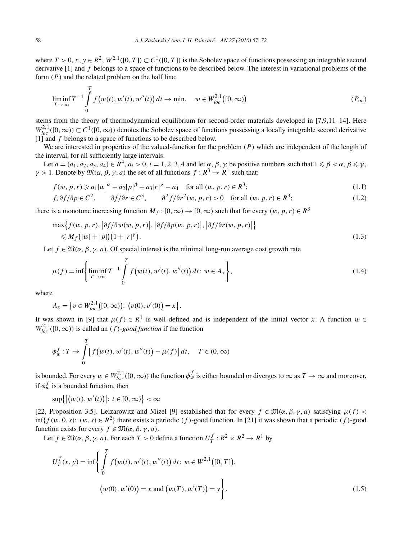where  $T > 0$ ,  $x, y \in R^2$ ,  $W^{2,1}([0, T]) \subset C^1([0, T])$  is the Sobolev space of functions possessing an integrable second derivative [1] and *f* belongs to a space of functions to be described below. The interest in variational problems of the form *(P)* and the related problem on the half line:

$$
\liminf_{T \to \infty} T^{-1} \int_{0}^{T} f(w(t), w'(t), w''(t)) dt \to \min, \quad w \in W_{loc}^{2,1}([0, \infty))
$$
\n
$$
(P_{\infty})
$$

stems from the theory of thermodynamical equilibrium for second-order materials developed in [7,9,11–14]. Here  $W_{loc}^{2,1}([0,\infty)) \subset C^1([0,\infty))$  denotes the Sobolev space of functions possessing a locally integrable second derivative [1] and *f* belongs to a space of functions to be described below.

We are interested in properties of the valued-function for the problem *(P)* which are independent of the length of the interval, for all sufficiently large intervals.

Let  $a=(a_1,a_2,a_3,a_4)\in R^4$ ,  $a_i>0$ ,  $i=1,2,3,4$  and let  $\alpha, \beta, \gamma$  be positive numbers such that  $1\leq \beta<\alpha, \beta\leq \gamma$ . *γ* > 1. Denote by  $\mathfrak{M}(\alpha, \beta, \gamma, a)$  the set of all functions  $f : R^3 \to R^1$  such that:

$$
f(w, p, r) \geq a_1 |w|^{\alpha} - a_2 |p|^{\beta} + a_3 |r|^{\gamma} - a_4 \quad \text{for all } (w, p, r) \in \mathbb{R}^3; \tag{1.1}
$$

$$
f, \partial f/\partial p \in C^2, \qquad \partial f/\partial r \in C^3, \qquad \partial^2 f/\partial r^2(w, p, r) > 0 \quad \text{for all } (w, p, r) \in R^3; \tag{1.2}
$$

there is a monotone increasing function  $M_f$  :  $[0, \infty) \rightarrow [0, \infty)$  such that for every  $(w, p, r) \in R^3$ 

$$
\max\{f(w, p, r), |\partial f/\partial w(w, p, r)|, |\partial f/\partial p(w, p, r)|, |\partial f/\partial r(w, p, r)|\}
$$
  
\$\leq M\_f(|w|+|p|)(1+|r|^\gamma)\$. (1.3)

Let  $f \in \mathfrak{M}(\alpha, \beta, \gamma, a)$ . Of special interest is the minimal long-run average cost growth rate

$$
\mu(f) = \inf \left\{ \liminf_{T \to \infty} T^{-1} \int_{0}^{T} f(w(t), w'(t), w''(t)) dt \colon w \in A_{x} \right\},
$$
\n(1.4)

where

$$
A_x = \{ v \in W_{loc}^{2,1}([0,\infty)) : (v(0), v'(0)) = x \}.
$$

It was shown in [9] that  $\mu(f) \in R^1$  is well defined and is independent of the initial vector *x*. A function  $w \in$  $W_{loc}^{2,1}([0,\infty))$  is called an *(f)*-*good function* if the function

$$
\phi_w^f: T \to \int_0^T \left[ f(w(t), w'(t), w''(t)) - \mu(f) \right] dt, \quad T \in (0, \infty)
$$

is bounded. For every  $w \in W_{loc}^{2,1}([0,\infty))$  the function  $\phi_w^f$  is either bounded or diverges to  $\infty$  as  $T \to \infty$  and moreover, if  $\phi_w^f$  is a bounded function, then

 $\sup\{|w(t), w'(t)|: t \in [0, \infty)\} < \infty$ 

[22, Proposition 3.5]. Leizarowitz and Mizel [9] established that for every  $f \in \mathfrak{M}(\alpha,\beta,\gamma,a)$  satisfying  $\mu(f)$  < inf{*f*(*w*, 0, *s*): (*w*, *s*) ∈  $R^2$ } there exists a periodic (*f*)-good function. In [21] it was shown that a periodic (*f*)-good function exists for every  $f \in \mathfrak{M}(\alpha, \beta, \gamma, a)$ .

Let  $f \in \mathfrak{M}(\alpha, \beta, \gamma, a)$ . For each  $T > 0$  define a function  $U_T^f : R^2 \times R^2 \to R^1$  by

$$
U_T^f(x, y) = \inf \left\{ \int_0^T f(w(t), w'(t), w''(t)) dt : w \in W^{2,1}([0, T]),
$$
  

$$
(w(0), w'(0)) = x \text{ and } (w(T), w'(T)) = y \right\}.
$$
 (1.5)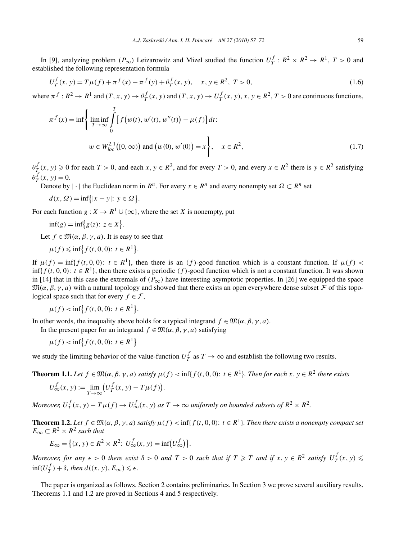In [9], analyzing problem  $(P_{\infty})$  Leizarowitz and Mizel studied the function  $U_T^f : R^2 \times R^2 \to R^1$ ,  $T > 0$  and established the following representation formula

$$
U_T^f(x, y) = T\mu(f) + \pi^f(x) - \pi^f(y) + \theta^f_T(x, y), \quad x, y \in R^2, \ T > 0,
$$
\n(1.6)

where  $\pi^f: R^2 \to R^1$  and  $(T, x, y) \to \theta^f_T(x, y)$  and  $(T, x, y) \to U^f_T(x, y), x, y \in R^2, T > 0$  are continuous functions,

$$
\pi^{f}(x) = \inf \left\{ \liminf_{T \to \infty} \int_{0}^{T} \left[ f(w(t), w'(t), w''(t)) - \mu(f) \right] dt \right\}
$$
  

$$
w \in W_{loc}^{2,1}([0, \infty)) \text{ and } (w(0), w'(0)) = x \right\}, \quad x \in R^{2},
$$
 (1.7)

 $\theta^f_T(x, y) \ge 0$  for each  $T > 0$ , and each  $x, y \in R^2$ , and for every  $T > 0$ , and every  $x \in R^2$  there is  $y \in R^2$  satisfying  $\theta_T^f(x, y) = 0.$ 

Denote by  $|\cdot|$  the Euclidean norm in  $R^n$ . For every  $x \in R^n$  and every nonempty set  $\Omega \subset R^n$  set

$$
d(x, \Omega) = \inf\{|x - y| : y \in \Omega\}.
$$

For each function *g* :  $X \to R^1 \cup \{\infty\}$ , where the set *X* is nonempty, put

$$
\inf(g) = \inf\{g(z): z \in X\}.
$$

Let  $f \in \mathfrak{M}(\alpha, \beta, \gamma, a)$ . It is easy to see that

$$
\mu(f) \leqslant \inf \left\{ f(t, 0, 0) : t \in R^1 \right\}.
$$

If  $\mu(f) = \inf\{f(t, 0, 0): t \in \mathbb{R}^1\}$ , then there is an *(f)*-good function which is a constant function. If  $\mu(f)$  < inf{ $f(t, 0, 0)$ :  $t \in R<sup>1</sup>$ }, then there exists a periodic (f)-good function which is not a constant function. It was shown in [14] that in this case the extremals of  $(P_{\infty})$  have interesting asymptotic properties. In [26] we equipped the space  $\mathfrak{M}(\alpha,\beta,\gamma,a)$  with a natural topology and showed that there exists an open everywhere dense subset  $\mathcal F$  of this topological space such that for every  $f \in \mathcal{F}$ ,

$$
\mu(f) < \inf \{ f(t, 0, 0) \colon t \in R^1 \}.
$$

In other words, the inequality above holds for a typical integrand  $f \in \mathfrak{M}(\alpha, \beta, \gamma, a)$ .

In the present paper for an integrand  $f \in \mathfrak{M}(\alpha, \beta, \gamma, a)$  satisfying

$$
\mu(f) < \inf \{ f(t, 0, 0) \colon t \in R^1 \}
$$

we study the limiting behavior of the value-function  $U_T^f$  as  $T \to \infty$  and establish the following two results.

**Theorem 1.1.** *Let*  $f \in \mathfrak{M}(\alpha, \beta, \gamma, a)$  *satisfy*  $\mu(f) < \inf\{f(t, 0, 0): t \in R^1\}$ *. Then for each*  $x, y \in R^2$  *there exists* 

$$
U_{\infty}^f(x, y) := \lim_{T \to \infty} \left( U_T^f(x, y) - T\mu(f) \right).
$$

*Moreover,*  $U_T^f(x, y) - T\mu(f) \to U_{\infty}^f(x, y)$  *as*  $T \to \infty$  *uniformly on bounded subsets of*  $R^2 \times R^2$ *.* 

**Theorem 1.2.** *Let*  $f \in \mathfrak{M}(\alpha, \beta, \gamma, a)$  *satisfy*  $\mu(f) < \inf\{f(t, 0, 0): t \in R^1\}$ *. Then there exists a nonempty compact set*  $E_{\infty} \subset R^2 \times R^2$  *such that* 

$$
E_{\infty} = \{(x, y) \in R^2 \times R^2 : U_{\infty}^f(x, y) = \inf(U_{\infty}^f)\}.
$$

Moreover, for any  $\epsilon > 0$  there exist  $\delta > 0$  and  $\bar{T} > 0$  such that if  $T \geqslant \bar{T}$  and if  $x, y \in R^2$  satisfy  $U^f_T(x, y) \leqslant$  $\inf(U_T^f) + \delta$ , then  $d((x, y), E_\infty) \leqslant \epsilon$ .

The paper is organized as follows. Section 2 contains preliminaries. In Section 3 we prove several auxiliary results. Theorems 1.1 and 1.2 are proved in Sections 4 and 5 respectively.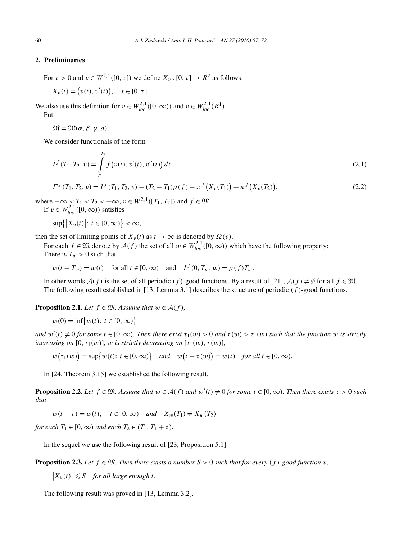#### **2. Preliminaries**

For  $\tau > 0$  and  $v \in W^{2,1}([0, \tau])$  we define  $X_v : [0, \tau] \to R^2$  as follows:

 $X_v(t) = (v(t), v'(t)), \quad t \in [0, \tau].$ 

We also use this definition for  $v \in W_{loc}^{2,1}([0,\infty))$  and  $v \in W_{loc}^{2,1}(R^1)$ . Put

 $\mathfrak{M} = \mathfrak{M}(\alpha, \beta, \gamma, a).$ 

We consider functionals of the form

$$
I^{f}(T_1, T_2, v) = \int_{T_1}^{T_2} f(v(t), v'(t), v''(t)) dt,
$$
\n(2.1)

$$
\Gamma^{f}(T_1, T_2, v) = I^{f}(T_1, T_2, v) - (T_2 - T_1)\mu(f) - \pi^{f}(X_v(T_1)) + \pi^{f}(X_v(T_2)),
$$
\n(2.2)

where  $-\infty$  <  $T_1$  <  $T_2$  <  $+\infty$ ,  $v \in W^{2,1}([T_1, T_2])$  and  $f \in \mathfrak{M}$ . If  $v \in W_{loc}^{2,1}([0,\infty))$  satisfies

$$
\sup\{|X_v(t)|: t\in [0,\infty)\}<\infty,
$$

then the set of limiting points of  $X_v(t)$  as  $t \to \infty$  is denoted by  $\Omega(v)$ .

For each  $f \in \mathfrak{M}$  denote by  $\mathcal{A}(f)$  the set of all  $w \in W_{loc}^{2,1}([0,\infty))$  which have the following property: There is  $T_w > 0$  such that

 $w(t + T_w) = w(t)$  for all  $t \in [0, \infty)$  and  $I^f(0, T_w, w) = \mu(f)T_w$ .

In other words  $A(f)$  is the set of all periodic *(f)*-good functions. By a result of [21],  $A(f) \neq \emptyset$  for all  $f \in \mathfrak{M}$ . The following result established in [13, Lemma 3.1] describes the structure of periodic *(f )*-good functions.

**Proposition 2.1.** *Let*  $f \in \mathfrak{M}$ *. Assume that*  $w \in \mathcal{A}(f)$ *,* 

$$
w(0) = \inf \{ w(t): t \in [0, \infty) \}
$$

and  $w'(t) \neq 0$  for some  $t \in [0,\infty)$ . Then there exist  $\tau_1(w) > 0$  and  $\tau(w) > \tau_1(w)$  such that the function w is strictly *increasing on* [0,  $\tau_1(w)$ ]*, w is strictly decreasing on*  $[\tau_1(w), \tau(w)]$ *,* 

 $w(\tau_1(w)) = \sup \{ w(t) : t \in [0, \infty) \}$  and  $w(t + \tau(w)) = w(t)$  for all  $t \in [0, \infty)$ .

In [24, Theorem 3.15] we established the following result.

**Proposition 2.2.** Let  $f \in \mathfrak{M}$ . Assume that  $w \in \mathcal{A}(f)$  and  $w'(t) \neq 0$  for some  $t \in [0, \infty)$ . Then there exists  $\tau > 0$  such *that*

 $w(t + \tau) = w(t), \quad t \in [0, \infty) \quad and \quad X_w(T_1) \neq X_w(T_2)$ 

*for each*  $T_1 \in [0, \infty)$  *and each*  $T_2 \in (T_1, T_1 + \tau)$ *.* 

In the sequel we use the following result of [23, Proposition 5.1].

**Proposition 2.3.** Let  $f \in \mathfrak{M}$ . Then there exists a number  $S > 0$  such that for every  $(f)$ -good function  $v$ ,

 $|X_v(t)| \leqslant S$  *for all large enough t.* 

The following result was proved in [13, Lemma 3.2].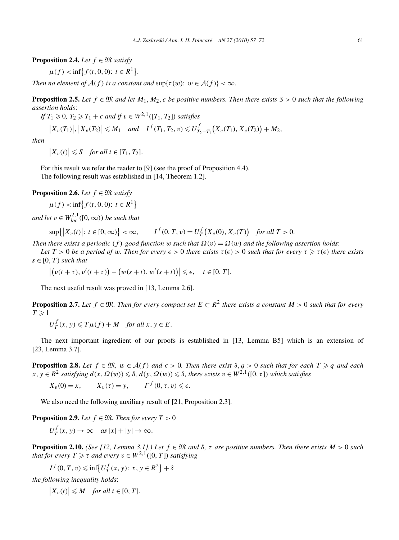**Proposition 2.4.** *Let*  $f \in \mathfrak{M}$  *satisfy* 

$$
\mu(f) < \inf \{ f(t, 0, 0) : t \in R^1 \}.
$$

*Then no element of*  $A(f)$  *is a constant and*  $\sup\{\tau(w): w \in A(f)\} < \infty$ *.* 

**Proposition 2.5.** *Let*  $f \in \mathfrak{M}$  *and let*  $M_1, M_2, c$  *be positive numbers. Then there exists*  $S > 0$  *such that the following assertion holds*:

If 
$$
T_1 \geq 0
$$
,  $T_2 \geq T_1 + c$  and if  $v \in W^{2,1}([T_1, T_2])$  satisfies

$$
\left|X_{\nu}(T_1)\right|, \left|X_{\nu}(T_2)\right| \leqslant M_1 \quad \text{and} \quad I^f(T_1, T_2, \nu) \leqslant U^f_{T_2-T_1}\big(X_{\nu}(T_1), X_{\nu}(T_2)\big) + M_2,
$$

*then*

$$
\big|X_v(t)\big|\leqslant S\quad\text{for all }t\in[T_1,T_2].
$$

For this result we refer the reader to [9] (see the proof of Proposition 4.4). The following result was established in [14, Theorem 1.2].

**Proposition 2.6.** *Let*  $f \in \mathfrak{M}$  *satisfy* 

$$
\mu(f) < \inf\{f(t, 0, 0): t \in R^1\}
$$

*and let*  $v \in W_{loc}^{2,1}([0,\infty))$  *be such that* 

 $\sup\{|X_v(t)|: t \in [0, \infty)\} < \infty, \qquad I^f(0, T, v) = U^f_T(X_v(0), X_v(T))$  *for all*  $T > 0$ .

*Then there exists a periodic*  $(f)$ *-good function w such that*  $\Omega(v) = \Omega(w)$  *and the following assertion holds:* 

*Let*  $T > 0$  *be a period of w. Then for every*  $\epsilon > 0$  *there exists*  $\tau(\epsilon) > 0$  *such that for every*  $\tau \geqslant \tau(\epsilon)$  *there exists*  $s \in [0, T)$  *such that* 

$$
\left| \big( v(t+\tau), v'(t+\tau) \big) - \big( w(s+t), w'(s+t) \big) \right| \leq \epsilon, \quad t \in [0, T].
$$

The next useful result was proved in [13, Lemma 2.6].

**Proposition 2.7.** Let  $f \in \mathfrak{M}$ . Then for every compact set  $E \subset R^2$  there exists a constant  $M > 0$  such that for every  $T \geqslant 1$ 

$$
U_T^f(x, y) \le T\mu(f) + M \quad \text{for all } x, y \in E.
$$

The next important ingredient of our proofs is established in [13, Lemma B5] which is an extension of [23, Lemma 3.7].

**Proposition 2.8.** Let  $f \in \mathfrak{M}$ ,  $w \in \mathcal{A}(f)$  and  $\epsilon > 0$ . Then there exist  $\delta, q > 0$  such that for each  $T \geq q$  and each  $f(x, y \in R^2 \text{ satisfying } d(x, \Omega(w)) \leqslant \delta, d(y, \Omega(w)) \leqslant \delta, \text{ there exists } v \in W^{2,1}([0, \tau]) \text{ which satisfies }$ 

$$
X_v(0) = x
$$
,  $X_v(\tau) = y$ ,  $\Gamma^f(0, \tau, v) \le \epsilon$ .

We also need the following auxiliary result of [21, Proposition 2.3].

**Proposition 2.9.** *Let*  $f \in \mathfrak{M}$ *. Then for every*  $T > 0$ 

$$
U_T^f(x, y) \to \infty \quad \text{as } |x| + |y| \to \infty.
$$

**Proposition 2.10.** *(See [12, Lemma 3.1].) Let*  $f \in \mathfrak{M}$  *and*  $\delta$ ,  $\tau$  *are positive numbers. Then there exists*  $M > 0$  *such that for every*  $T \geq \tau$  *and every*  $v \in W^{2,1}([0,T])$  *satisfying* 

$$
I^f(0,T,v) \leq \inf \left\{ U^f_T(x,y): x, y \in R^2 \right\} + \delta
$$

*the following inequality holds*:

 $|X_v(t)| \leq M$  *for all*  $t \in [0, T]$ *.*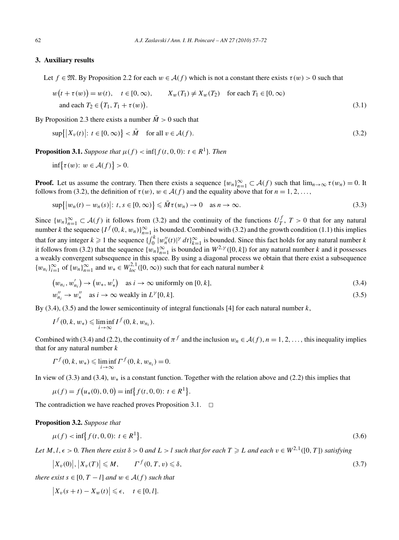#### **3. Auxiliary results**

Let  $f \in \mathfrak{M}$ . By Proposition 2.2 for each  $w \in \mathcal{A}(f)$  which is not a constant there exists  $\tau(w) > 0$  such that

$$
w(t + \tau(w)) = w(t), \quad t \in [0, \infty), \qquad X_w(T_1) \neq X_w(T_2) \quad \text{for each } T_1 \in [0, \infty)
$$
  
and each  $T_2 \in (T_1, T_1 + \tau(w)).$  (3.1)

By Proposition 2.3 there exists a number  $\overline{M} > 0$  such that

$$
\sup\{|X_v(t)|: t \in [0,\infty)\} < \bar{M} \quad \text{for all } v \in \mathcal{A}(f). \tag{3.2}
$$

**Proposition 3.1.** *Suppose that*  $\mu(f) < \inf\{f(t, 0, 0): t \in R^1\}$ *. Then* 

$$
\inf \{ \tau(w) \colon w \in \mathcal{A}(f) \} > 0.
$$

**Proof.** Let us assume the contrary. Then there exists a sequence  $\{w_n\}_{n=1}^{\infty} \subset \mathcal{A}(f)$  such that  $\lim_{n\to\infty} \tau(w_n) = 0$ . It follows from (3.2), the definition of  $\tau(w)$ ,  $w \in \mathcal{A}(f)$  and the equality above that for  $n = 1, 2, \ldots$ ,

$$
\sup\{|w_n(t) - w_n(s)|: t, s \in [0, \infty)\}\leq \bar{M}\tau(w_n) \to 0 \quad \text{as } n \to \infty.
$$
\n(3.3)

Since  $\{w_n\}_{n=1}^{\infty} \subset A(f)$  it follows from (3.2) and the continuity of the functions  $U_f^f$ ,  $T > 0$  that for any natural number *k* the sequence  $\{I^f(0, k, w_n)\}_{n=1}^{\infty}$  is bounded. Combined with (3.2) and the growth condition (1.1) this implies that for any integer  $k \geq 1$  the sequence  $\{\int_0^k |w''_n(t)|^{\gamma} dt\}_{k=1}^{\infty}$  is bounded. Since this fact holds for any natural number *k* it follows from (3.2) that the sequence  $\{w_n\}_{n=1}^{\infty}$  is bounded in  $W^{2,\gamma}([0,k])$  for any natural number *k* and it possesses a weakly convergent subsequence in this space. By using a diagonal process we obtain that there exist a subsequence  ${w_{n_i}}_{i=1}^{\infty}$  of  ${w_n}_{n=1}^{\infty}$  and  $w_* \in W_{loc}^{2,1}([0,\infty))$  such that for each natural number *k* 

$$
(w_{n_i}, w'_{n_i}) \to (w_*, w'_*) \quad \text{as } i \to \infty \text{ uniformly on } [0, k],
$$
  
\n
$$
w''_{n_i} \to w''_* \quad \text{as } i \to \infty \text{ weakly in } L^{\gamma}[0, k].
$$
\n(3.5)

By (3.4), (3.5) and the lower semicontinuity of integral functionals [4] for each natural number *k*,

$$
I^f(0,k,w_*) \leqslant \liminf_{i \to \infty} I^f(0,k,w_{n_i}).
$$

Combined with (3.4) and (2.2), the continuity of  $\pi^f$  and the inclusion  $w_n \in A(f)$ ,  $n = 1, 2, \ldots$ , this inequality implies that for any natural number *k*

$$
\Gamma^{f}(0, k, w_{*}) \leq \liminf_{i \to \infty} \Gamma^{f}(0, k, w_{n_{i}}) = 0.
$$

In view of (3.3) and (3.4), *w*∗ is a constant function. Together with the relation above and (2.2) this implies that

$$
\mu(f) = f(u_*(0), 0, 0) = \inf\{f(t, 0, 0): t \in R^1\}.
$$

The contradiction we have reached proves Proposition 3.1.  $\Box$ 

**Proposition 3.2.** *Suppose that*

$$
\mu(f) < \inf \{ f(t, 0, 0) \colon t \in R^1 \}. \tag{3.6}
$$

Let M, l,  $\epsilon > 0$ . Then there exist  $\delta > 0$  and  $L > l$  such that for each  $T \geq L$  and each  $v \in W^{2,1}([0,T])$  satisfying

$$
\left|X_v(0)\right|, \left|X_v(T)\right| \le M, \qquad \Gamma^f(0, T, v) \le \delta,\tag{3.7}
$$

*there exist*  $s \in [0, T - l]$  *and*  $w \in A(f)$  *such that* 

$$
\left|X_v(s+t) - X_w(t)\right| \leqslant \epsilon, \quad t \in [0, l].
$$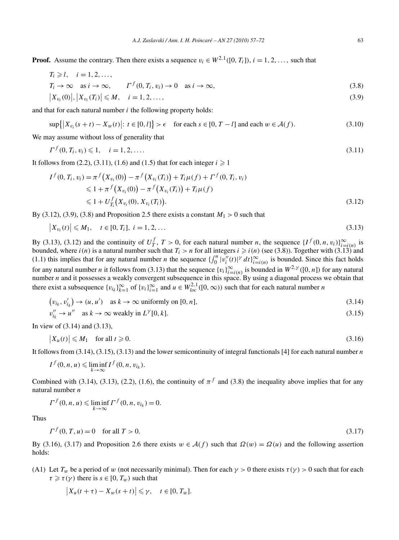**Proof.** Assume the contrary. Then there exists a sequence  $v_i \in W^{2,1}([0, T_i])$ ,  $i = 1, 2, \ldots$ , such that

$$
T_i \ge l, \quad i = 1, 2, \dots,
$$
  
\n
$$
T_i \to \infty \quad \text{as } i \to \infty, \qquad \Gamma^f(0, T_i, v_i) \to 0 \quad \text{as } i \to \infty,
$$
  
\n(3.8)

$$
|X_{v_i}(0)|, |X_{v_i}(T_i)| \le M, \quad i = 1, 2, ..., \tag{3.9}
$$

and that for each natural number *i* the following property holds:

$$
\sup\{|X_{v_i}(s+t) - X_w(t)|: t \in [0, l]\} > \epsilon \quad \text{for each } s \in [0, T - l] \text{ and each } w \in \mathcal{A}(f). \tag{3.10}
$$

We may assume without loss of generality that

$$
\Gamma^f(0, T_i, v_i) \leq 1, \quad i = 1, 2, \dots \tag{3.11}
$$

It follows from (2.2), (3.11), (1.6) and (1.5) that for each integer  $i \ge 1$ 

$$
I^{f}(0, T_{i}, v_{i}) = \pi^{f}(X_{v_{i}}(0)) - \pi^{f}(X_{v_{i}}(T_{i})) + T_{i}\mu(f) + \Gamma^{f}(0, T_{i}, v_{i})
$$
  
\n
$$
\leq 1 + \pi^{f}(X_{v_{i}}(0)) - \pi^{f}(X_{v_{i}}(T_{i})) + T_{i}\mu(f)
$$
  
\n
$$
\leq 1 + U_{T_{i}}^{f}(X_{v_{i}}(0), X_{v_{i}}(T_{i})).
$$
\n(3.12)

By (3.12), (3.9), (3.8) and Proposition 2.5 there exists a constant  $M_1 > 0$  such that

$$
\left|X_{v_i}(t)\right| \le M_1, \quad t \in [0, T_i], \ i = 1, 2, \dots \tag{3.13}
$$

By (3.13), (3.12) and the continuity of  $U_T^f$ ,  $T > 0$ , for each natural number *n*, the sequence  $\{I^f(0, n, v_i)\}_{i=i(n)}^{\infty}$  is bounded, where  $i(n)$  is a natural number such that  $T_i > n$  for all integers  $i \geq i(n)$  (see (3.8)). Together with (3.13) and (1.1) this implies that for any natural number *n* the sequence  $\int_0^n |v''_i(t)|^{\gamma} dt$ , is bounded. Since this fact holds for any natural number *n* it follows from (3.13) that the sequence  $\{v_i\}_{i=i(n)}^{\infty}$  is bounded in  $W^{2,\gamma}([0,n])$  for any natural number *n* and it possesses a weakly convergent subsequence in this space. By using a diagonal process we obtain that there exist a subsequence  $\{v_{i_k}\}_{k=1}^{\infty}$  of  $\{v_i\}_{i=1}^{\infty}$  and  $u \in W_{loc}^{2,1}([0,\infty))$  such that for each natural number *n* 

$$
(v_{i_k}, v'_{i_k}) \to (u, u') \quad \text{as } k \to \infty \text{ uniformly on } [0, n], \tag{3.14}
$$

$$
v_{i_k}'' \to u'' \quad \text{as } k \to \infty \text{ weakly in } L^{\gamma}[0, k].
$$
\n(3.15)

In view of (3.14) and (3.13),

$$
\left|X_u(t)\right| \le M_1 \quad \text{for all } t \ge 0. \tag{3.16}
$$

It follows from (3.14), (3.15), (3.13) and the lower semicontinuity of integral functionals [4] for each natural number *n*

$$
I^f(0,n,u) \leqslant \liminf_{k \to \infty} I^f(0,n,v_{i_k}).
$$

Combined with (3.14), (3.13), (2.2), (1.6), the continuity of  $\pi^f$  and (3.8) the inequality above implies that for any natural number *n*

$$
\Gamma^f(0,n,u) \leqslant \liminf_{k \to \infty} \Gamma^f(0,n,v_{i_k}) = 0.
$$

Thus

$$
\Gamma^{f}(0, T, u) = 0 \quad \text{for all } T > 0. \tag{3.17}
$$

By (3.16), (3.17) and Proposition 2.6 there exists  $w \in A(f)$  such that  $\Omega(w) = \Omega(u)$  and the following assertion holds:

(A1) Let  $T_w$  be a period of *w* (not necessarily minimal). Then for each  $\gamma > 0$  there exists  $\tau(\gamma) > 0$  such that for each  $\tau \geq \tau(\gamma)$  there is  $s \in [0, T_w)$  such that

$$
\left|X_u(t+\tau) - X_w(s+t)\right| \leq \gamma, \quad t \in [0, T_w].
$$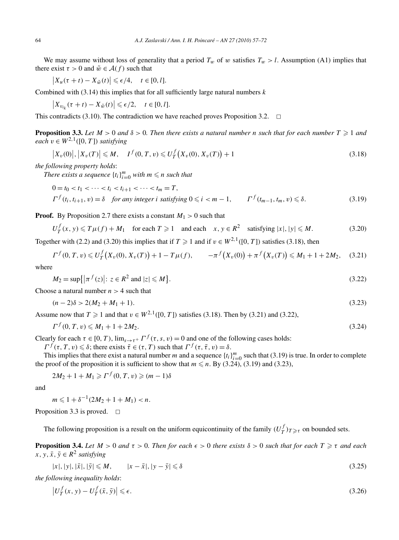We may assume without loss of generality that a period  $T_w$  of *w* satisfies  $T_w > l$ . Assumption (A1) implies that there exist  $\tau > 0$  and  $\tilde{w} \in \mathcal{A}(f)$  such that

$$
\left|X_u(\tau+t)-X_{\tilde{w}}(t)\right|\leqslant \epsilon/4, \quad t\in [0,l].
$$

Combined with (3.14) this implies that for all sufficiently large natural numbers *k*

$$
\left|X_{v_{i_k}}(\tau+t)-X_{\tilde{w}}(t)\right|\leqslant \epsilon/2, \quad t\in [0,l].
$$

This contradicts (3.10). The contradiction we have reached proves Proposition 3.2.  $\Box$ 

**Proposition 3.3.** Let  $M > 0$  and  $\delta > 0$ . Then there exists a natural number n such that for each number  $T \geq 1$  and  $\overline{a}$ *each*  $v \in W^{2,1}([0,T])$  *satisfying* 

$$
\left| X_v(0) \right|, \left| X_v(T) \right| \le M, \quad I^f(0, T, v) \le U^f_T\big( X_v(0), X_v(T) \big) + 1 \tag{3.18}
$$

*the following property holds*:

*There exists a sequence*  $\{t_i\}_{i=0}^m$  *with*  $m \leq n$  *such that* 

$$
0 = t_0 < t_1 < \cdots < t_i < t_{i+1} < \cdots < t_m = T,
$$
\n
$$
\Gamma^f(t_i, t_{i+1}, v) = \delta \quad \text{for any integer } i \text{ satisfying } 0 \le i < m - 1, \qquad \Gamma^f(t_{m-1}, t_m, v) \le \delta. \tag{3.19}
$$

**Proof.** By Proposition 2.7 there exists a constant  $M_1 > 0$  such that

$$
U_T^f(x, y) \le T\mu(f) + M_1 \quad \text{for each } T \ge 1 \quad \text{and each} \quad x, y \in R^2 \quad \text{satisfying } |x|, |y| \le M. \tag{3.20}
$$

Together with (2.2) and (3.20) this implies that if  $T \ge 1$  and if  $v \in W^{2,1}([0, T])$  satisfies (3.18), then

$$
\Gamma^f(0,T,v) \leq U^f_T(X_v(0),X_v(T)) + 1 - T\mu(f), \qquad -\pi^f(X_v(0)) + \pi^f(X_v(T)) \leq M_1 + 1 + 2M_2, \quad (3.21)
$$

where

$$
M_2 = \sup\{| \pi^f(z) | : z \in R^2 \text{ and } |z| \le M\}.
$$
 (3.22)

Choose a natural number *n >* 4 such that

$$
(n-2)\delta > 2(M_2 + M_1 + 1). \tag{3.23}
$$

Assume now that  $T \geq 1$  and that  $v \in W^{2,1}([0, T])$  satisfies (3.18). Then by (3.21) and (3.22),

$$
\Gamma^f(0, T, v) \le M_1 + 1 + 2M_2. \tag{3.24}
$$

Clearly for each  $\tau \in [0, T)$ ,  $\lim_{s \to \tau^+} \Gamma^f(\tau, s, v) = 0$  and one of the following cases holds:

 $\Gamma^f(\tau, T, v) \leq \delta$ ; there exists  $\bar{\tau} \in (\tau, T)$  such that  $\Gamma^f(\tau, \bar{\tau}, v) = \delta$ .

This implies that there exist a natural number *m* and a sequence  $\{t_i\}_{i=0}^m$  such that (3.19) is true. In order to complete the proof of the proposition it is sufficient to show that  $m \le n$ . By (3.24), (3.19) and (3.23),

$$
2M_2 + 1 + M_1 \geqslant \Gamma^f(0, T, v) \geqslant (m - 1)\delta
$$

and

$$
m \leq 1 + \delta^{-1}(2M_2 + 1 + M_1) < n.
$$

Proposition 3.3 is proved.  $\Box$ 

The following proposition is a result on the uniform equicontinuity of the family  $(U_T^f)_{T \geq \tau}$  on bounded sets.

**Proposition 3.4.** Let  $M > 0$  and  $\tau > 0$ . Then for each  $\epsilon > 0$  there exists  $\delta > 0$  such that for each  $T \geq \tau$  and each *x*, *y*,  $\bar{x}$ ,  $\bar{y} \in R^2$  *satisfying* 

$$
|y|, |\bar{x}|, |\bar{y}| \le M, \qquad |x - \bar{x}|, |y - \bar{y}| \le \delta \tag{3.25}
$$

*the following inequality holds*:

 $|x|$ ,

$$
\left|U_T^f(x,y) - U_T^f(\bar{x},\bar{y})\right| \leq \epsilon. \tag{3.26}
$$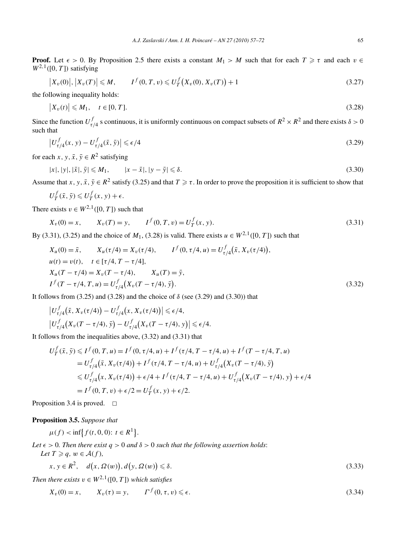**Proof.** Let  $\epsilon > 0$ . By Proposition 2.5 there exists a constant  $M_1 > M$  such that for each  $T \geq \tau$  and each  $v \in$  $W^{2,1}([0,T])$  satisfying

$$
\left| X_v(0) \right|, \left| X_v(T) \right| \le M, \qquad I^f(0, T, v) \le U^f_T\big( X_v(0), X_v(T) \big) + 1 \tag{3.27}
$$

the following inequality holds:

$$
\left|X_v(t)\right| \le M_1, \quad t \in [0, T]. \tag{3.28}
$$

Since the function  $U_{\tau/4}^f$  s continuous, it is uniformly continuous on compact subsets of  $R^2 \times R^2$  and there exists  $\delta > 0$ such that

$$
\left|U_{\tau/4}^f(x,y) - U_{\tau/4}^f(\bar{x},\bar{y})\right| \leqslant \epsilon/4\tag{3.29}
$$

for each *x*, *y*,  $\bar{x}$ ,  $\bar{y} \in R^2$  satisfying

$$
|x|, |y|, |\bar{x}|, \bar{y}| \le M_1, \qquad |x - \bar{x}|, |y - \bar{y}| \le \delta. \tag{3.30}
$$

Assume that *x*, *y*,  $\bar{x}$ ,  $\bar{y} \in R^2$  satisfy (3.25) and that  $T \ge \tau$ . In order to prove the proposition it is sufficient to show that

$$
U_T^f(\bar{x}, \bar{y}) \leq U_T^f(x, y) + \epsilon.
$$

There exists  $v \in W^{2,1}([0, T])$  such that

$$
X_v(0) = x, \qquad X_v(T) = y, \qquad I^f(0, T, v) = U^f_T(x, y). \tag{3.31}
$$

By (3.31), (3.25) and the choice of  $M_1$ , (3.28) is valid. There exists  $u \in W^{2,1}([0, T])$  such that

$$
X_u(0) = \bar{x}, \qquad X_u(\tau/4) = X_v(\tau/4), \qquad I^f(0, \tau/4, u) = U_{\tau/4}^f(\bar{x}, X_v(\tau/4)),
$$
  
\n
$$
u(t) = v(t), \quad t \in [\tau/4, T - \tau/4],
$$
  
\n
$$
X_u(T - \tau/4) = X_v(T - \tau/4), \qquad X_u(T) = \bar{y},
$$
  
\n
$$
I^f(T - \tau/4, T, u) = U_{\tau/4}^f(X_v(T - \tau/4), \bar{y}).
$$
\n(3.32)

It follows from  $(3.25)$  and  $(3.28)$  and the choice of  $\delta$  (see  $(3.29)$  and  $(3.30)$ ) that

$$
\left| U_{\tau/4}^f(\bar{x}, X_v(\tau/4)) - U_{\tau/4}^f(x, X_v(\tau/4)) \right| \leq \epsilon/4,
$$
  

$$
\left| U_{\tau/4}^f(X_v(T - \tau/4), \bar{y}) - U_{\tau/4}^f(X_v(T - \tau/4), y) \right| \leq \epsilon/4.
$$

It follows from the inequalities above, (3.32) and (3.31) that

$$
U_T^f(\bar{x}, \bar{y}) \leq I^f(0, T, u) = I^f(0, \tau/4, u) + I^f(\tau/4, T - \tau/4, u) + I^f(T - \tau/4, T, u)
$$
  
=  $U_{\tau/4}^f(\bar{x}, X_v(\tau/4)) + I^f(\tau/4, T - \tau/4, u) + U_{\tau/4}^f(X_v(T - \tau/4), \bar{y})$   
 $\leq U_{\tau/4}^f(x, X_v(\tau/4)) + \epsilon/4 + I^f(\tau/4, T - \tau/4, u) + U_{\tau/4}^f(X_v(T - \tau/4), y) + \epsilon/4$   
=  $I^f(0, T, v) + \epsilon/2 = U_T^f(x, y) + \epsilon/2.$ 

Proposition 3.4 is proved.  $\square$ 

#### **Proposition 3.5.** *Suppose that*

$$
\mu(f) < \inf \{ f(t, 0, 0) : t \in R^1 \}.
$$

Let  $\epsilon > 0$ . Then there exist  $q > 0$  and  $\delta > 0$  such that the following assertion holds:

$$
Let T \geqslant q, w \in \mathcal{A}(f),
$$

$$
x, y \in R^2, \quad d(x, \Omega(w)), d(y, \Omega(w)) \le \delta.
$$
\n
$$
(3.33)
$$

*Then there exists*  $v \in W^{2,1}([0, T])$  *which satisfies* 

$$
X_v(0) = x, \qquad X_v(\tau) = y, \qquad \Gamma^f(0, \tau, v) \leq \epsilon. \tag{3.34}
$$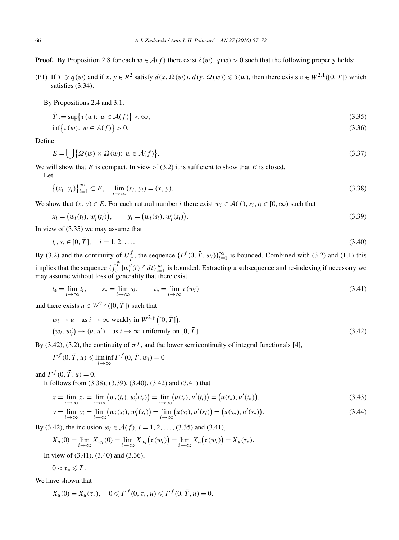**Proof.** By Proposition 2.8 for each  $w \in \mathcal{A}(f)$  there exist  $\delta(w)$ ,  $q(w) > 0$  such that the following property holds:

(P1) If  $T \geq q(w)$  and if  $x, y \in R^2$  satisfy  $d(x, \Omega(w)), d(y, \Omega(w)) \leq \delta(w)$ , then there exists  $v \in W^{2,1}([0, T])$  which satisfies (3.34).

By Propositions 2.4 and 3.1,

$$
\bar{T} := \sup \{ \tau(w) \colon w \in \mathcal{A}(f) \} < \infty,\tag{3.35}
$$

$$
\inf \{ \tau(w) \colon w \in \mathcal{A}(f) \} > 0. \tag{3.36}
$$

Define

$$
E = \bigcup \{ \Omega(w) \times \Omega(w) : w \in \mathcal{A}(f) \}. \tag{3.37}
$$

We will show that  $E$  is compact. In view of  $(3.2)$  it is sufficient to show that  $E$  is closed.

Let

$$
\{(x_i, y_i)\}_{i=1}^{\infty} \subset E, \quad \lim_{i \to \infty} (x_i, y_i) = (x, y).
$$
\n(3.38)

We show that  $(x, y) \in E$ . For each natural number *i* there exist  $w_i \in A(f)$ ,  $s_i, t_i \in [0, \infty)$  such that

$$
x_i = (w_i(t_i), w'_i(t_i)), \qquad y_i = (w_i(s_i), w'_i(s_i)).
$$
\n(3.39)

In view of (3.35) we may assume that

$$
t_i, s_i \in [0, \bar{T}], \quad i = 1, 2, \dots
$$
\n<sup>(3.40)</sup>

By (3.2) and the continuity of  $U^f_{\overline{T}}$ , the sequence  $\{I^f(0, \overline{T}, w_i)\}_{i=1}^{\infty}$  is bounded. Combined with (3.2) and (1.1) this implies that the sequence  $\{\int_0^{\bar{T}} |w''_i(t)|^{\gamma} dt\}_{i=1}^{\infty}$  is bounded. Extracting a subsequence and re-indexing if necessary we may assume without loss of generality that there exist

$$
t_* = \lim_{i \to \infty} t_i, \qquad s_* = \lim_{i \to \infty} s_i, \qquad \tau_* = \lim_{i \to \infty} \tau(w_i)
$$
\n(3.41)

and there exists  $u \in W^{2,\gamma}([0, \overline{T}])$  such that

$$
w_i \to u \quad \text{as } i \to \infty \text{ weakly in } W^{2,\gamma}([0, \bar{T}]),
$$
  

$$
(w_i, w'_i) \to (u, u') \quad \text{as } i \to \infty \text{ uniformly on } [0, \bar{T}].
$$
 (3.42)

By (3.42), (3.2), the continuity of  $\pi^f$ , and the lower semicontinuity of integral functionals [4],

$$
\Gamma^f(0, \overline{T}, u) \leqslant \liminf_{i \to \infty} \Gamma^f(0, \overline{T}, w_i) = 0
$$

and  $\Gamma^f(0, \bar{T}, u) = 0$ .

It follows from (3.38), (3.39), (3.40), (3.42) and (3.41) that

$$
x = \lim_{i \to \infty} x_i = \lim_{i \to \infty} (w_i(t_i), w'_i(t_i)) = \lim_{i \to \infty} (u(t_i), u'(t_i)) = (u(t_*), u'(t_*)),
$$
\n(3.43)

$$
y = \lim_{i \to \infty} y_i = \lim_{i \to \infty} (w_i(s_i), w'_i(s_i)) = \lim_{i \to \infty} (u(s_i), u'(s_i)) = (u(s_*), u'(s_*)).
$$
\n(3.44)

By (3.42), the inclusion *w<sub>i</sub>* ∈  $A(f)$ , *i* = 1, 2, ..., (3.35) and (3.41),

$$
X_u(0) = \lim_{i \to \infty} X_{w_i}(0) = \lim_{i \to \infty} X_{w_i}(\tau(w_i)) = \lim_{i \to \infty} X_u(\tau(w_i)) = X_u(\tau_*).
$$

In view of (3.41), (3.40) and (3.36),

$$
0<\tau_*\leqslant \bar{T}.
$$

We have shown that

$$
X_u(0) = X_u(\tau_*), \quad 0 \leqslant \Gamma^f(0, \tau_*, u) \leqslant \Gamma^f(0, \overline{T}, u) = 0.
$$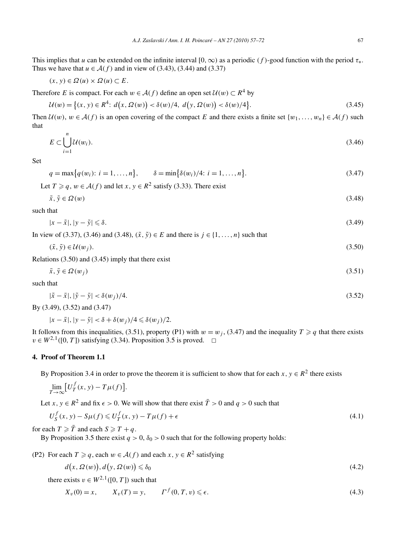This implies that *u* can be extended on the infinite interval  $[0, \infty)$  as a periodic  $(f)$ -good function with the period  $\tau_*$ . Thus we have that  $u \in \mathcal{A}(f)$  and in view of (3.43), (3.44) and (3.37)

$$
(x, y) \in \Omega(u) \times \Omega(u) \subset E.
$$

Therefore *E* is compact. For each  $w \in A(f)$  define an open set  $\mathcal{U}(w) \subset R^4$  by

$$
\mathcal{U}(w) = \left\{ (x, y) \in R^4 : d(x, \Omega(w)) < \delta(w)/4, d(y, \Omega(w)) < \delta(w)/4 \right\}. \tag{3.45}
$$

Then  $\mathcal{U}(w)$ ,  $w \in \mathcal{A}(f)$  is an open covering of the compact *E* and there exists a finite set  $\{w_1, \ldots, w_n\} \in \mathcal{A}(f)$  such that

$$
E \subset \bigcup_{i=1}^{n} \mathcal{U}(w_i). \tag{3.46}
$$

Set

$$
q = \max\{q(w_i): i = 1, ..., n\}, \qquad \delta = \min\{\delta(w_i)/4: i = 1, ..., n\}.
$$
\n(3.47)

Let  $T \geq q$ ,  $w \in \mathcal{A}(f)$  and let  $x, y \in \mathbb{R}^2$  satisfy (3.33). There exist

$$
\tilde{x}, \tilde{y} \in \Omega(w) \tag{3.48}
$$

such that

$$
|x - \tilde{x}|, |y - \tilde{y}| \le \delta. \tag{3.49}
$$

In view of (3.37), (3.46) and (3.48),  $(\tilde{x}, \tilde{y})$  ∈ *E* and there is *j* ∈ {1, ..., *n*} such that

$$
(\tilde{x}, \tilde{y}) \in \mathcal{U}(w_j). \tag{3.50}
$$

Relations (3.50) and (3.45) imply that there exist

$$
\bar{x}, \bar{y} \in \Omega(w_j) \tag{3.51}
$$

such that

$$
|\tilde{x} - \bar{x}|, |\tilde{y} - \bar{y}| < \delta(w_j)/4. \tag{3.52}
$$

By (3.49), (3.52) and (3.47)

$$
|x - \bar{x}|, |y - \bar{y}| < \delta + \delta(w_j)/4 \leq \delta(w_j)/2.
$$

It follows from this inequalities, (3.51), property (P1) with  $w = w_j$ , (3.47) and the inequality  $T \geq q$  that there exists  $v \in W^{2,1}([0, T])$  satisfying (3.34). Proposition 3.5 is proved.  $\Box$ 

## **4. Proof of Theorem 1.1**

By Proposition 3.4 in order to prove the theorem it is sufficient to show that for each  $x, y \in R^2$  there exists

$$
\lim_{T \to \infty} \left[ U_T^f(x, y) - T\mu(f) \right].
$$

Let *x*,  $y \in R^2$  and fix  $\epsilon > 0$ . We will show that there exist  $\overline{T} > 0$  and  $q > 0$  such that

$$
U_S^f(x, y) - S\mu(f) \le U_T^f(x, y) - T\mu(f) + \epsilon
$$
\n(4.1)

for each  $T \geq \overline{T}$  and each  $S \geq T + q$ .

By Proposition 3.5 there exist  $q > 0$ ,  $\delta_0 > 0$  such that for the following property holds:

(P2) For each  $T \geq q$ , each  $w \in A(f)$  and each  $x, y \in R^2$  satisfying

$$
d(x, \Omega(w)), d(y, \Omega(w)) \le \delta_0 \tag{4.2}
$$

there exists  $v \in W^{2,1}([0, T])$  such that

$$
X_v(0) = x,
$$
  $X_v(T) = y,$   $\Gamma^f(0, T, v) \le \epsilon.$  (4.3)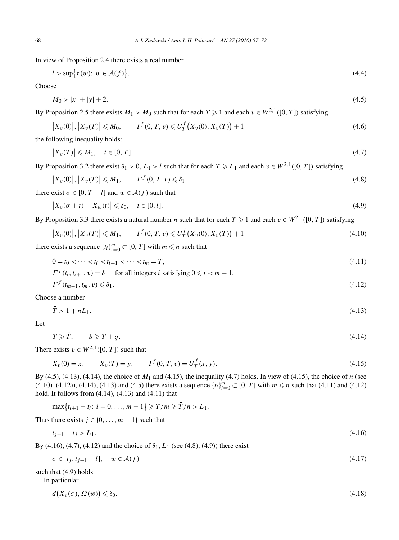In view of Proposition 2.4 there exists a real number

$$
l > \sup\{\tau(w): w \in \mathcal{A}(f)\}.
$$
\n
$$
(4.4)
$$

Choose

$$
M_0 > |x| + |y| + 2. \tag{4.5}
$$

By Proposition 2.5 there exists  $M_1 > M_0$  such that for each  $T \ge 1$  and each  $v \in W^{2,1}([0, T])$  satisfying

$$
\left| X_v(0) \right|, \left| X_v(T) \right| \le M_0, \qquad I^f(0, T, v) \le U_T^f\big( X_v(0), X_v(T) \big) + 1 \tag{4.6}
$$

the following inequality holds:

$$
\left|X_v(T)\right| \leqslant M_1, \quad t \in [0, T]. \tag{4.7}
$$

By Proposition 3.2 there exist  $\delta_1 > 0$ ,  $L_1 > l$  such that for each  $T \ge L_1$  and each  $v \in W^{2,1}([0, T])$  satisfying

$$
\left|X_v(0)\right|, \left|X_v(T)\right| \le M_1, \qquad \Gamma^f(0, T, v) \le \delta_1 \tag{4.8}
$$

there exist  $\sigma \in [0, T - l]$  and  $w \in \mathcal{A}(f)$  such that

$$
\left|X_v(\sigma+t) - X_w(t)\right| \leq \delta_0, \quad t \in [0,1].\tag{4.9}
$$

By Proposition 3.3 there exists a natural number *n* such that for each  $T \ge 1$  and each  $v \in W^{2,1}([0, T])$  satisfying

$$
\left| X_v(0) \right|, \left| X_v(T) \right| \le M_1, \qquad I^f(0, T, v) \le U_T^f\big( X_v(0), X_v(T) \big) + 1 \tag{4.10}
$$

there exists a sequence  $\{t_i\}_{i=0}^m \subset [0, T]$  with  $m \le n$  such that

$$
0 = t_0 < \cdots < t_i < t_{i+1} < \cdots < t_m = T,\tag{4.11}
$$

$$
\Gamma^{f}(t_{i}, t_{i+1}, v) = \delta_{1} \quad \text{for all integers } i \text{ satisfying } 0 \leq i < m - 1,
$$
\n
$$
\Gamma^{f}(t_{i}, t_{i+1}, v) < \delta_{1} \tag{4.12}
$$

$$
\Gamma^{J}\left(t_{m-1},t_{m},v\right)\leq \delta_{1}.\tag{4.12}
$$

Choose a number

$$
\bar{T} > 1 + nL_1. \tag{4.13}
$$

Let

$$
T \geqslant \bar{T}, \qquad S \geqslant T + q. \tag{4.14}
$$

There exists  $v \in W^{2,1}([0, T])$  such that

$$
X_v(0) = x, \qquad X_v(T) = y, \qquad I^f(0, T, v) = U^f_T(x, y). \tag{4.15}
$$

By (4.5), (4.13), (4.14), the choice of *M*<sup>1</sup> and (4.15), the inequality (4.7) holds. In view of (4.15), the choice of *n* (see  $(4.10)$ – $(4.12)$ ,  $(4.14)$ ,  $(4.13)$  and  $(4.5)$  there exists a sequence  $\{t_i\}_{i=0}^m \subset [0, T]$  with  $m \le n$  such that  $(4.11)$  and  $(4.12)$ hold. It follows from (4.14), (4.13) and (4.11) that

 $\max\{t_{i+1} - t_i: i = 0, ..., m-1\} \geq T/m \geq \overline{T}/n > L_1.$ 

Thus there exists  $j \in \{0, ..., m-1\}$  such that

$$
t_{j+1} - t_j > L_1. \tag{4.16}
$$

By (4.16), (4.7), (4.12) and the choice of  $\delta_1$ ,  $L_1$  (see (4.8), (4.9)) there exist

$$
\sigma \in [t_j, t_{j+1} - l], \quad w \in \mathcal{A}(f) \tag{4.17}
$$

such that (4.9) holds.

In particular

$$
d(X_v(\sigma), \Omega(w)) \leq \delta_0. \tag{4.18}
$$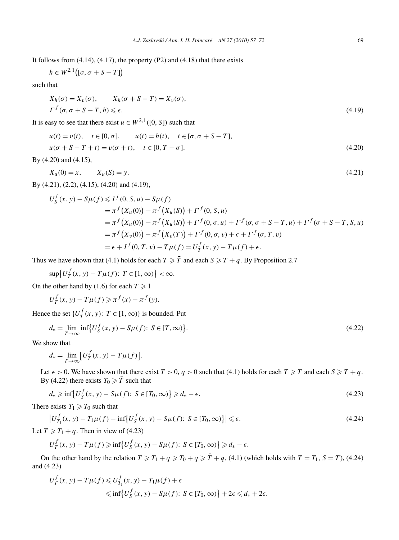It follows from  $(4.14)$ ,  $(4.17)$ , the property  $(P2)$  and  $(4.18)$  that there exists

$$
h \in W^{2,1}([\sigma, \sigma + S - T])
$$

such that

$$
X_h(\sigma) = X_v(\sigma), \qquad X_h(\sigma + S - T) = X_v(\sigma),
$$
  
\n
$$
\Gamma^f(\sigma, \sigma + S - T, h) \le \epsilon.
$$
\n(4.19)

It is easy to see that there exist  $u \in W^{2,1}([0, S])$  such that

$$
u(t) = v(t), \quad t \in [0, \sigma], \qquad u(t) = h(t), \quad t \in [\sigma, \sigma + S - T],
$$
  

$$
u(\sigma + S - T + t) = v(\sigma + t), \quad t \in [0, T - \sigma].
$$
 (4.20)

By (4.20) and (4.15),

$$
X_u(0) = x, \qquad X_u(S) = y. \tag{4.21}
$$

By (4.21), (2.2), (4.15), (4.20) and (4.19),

$$
U_{S}^{f}(x, y) - S\mu(f) \leq I^{f}(0, S, u) - S\mu(f)
$$
  
=  $\pi^{f}(X_{u}(0)) - \pi^{f}(X_{u}(S)) + \Gamma^{f}(0, S, u)$   
=  $\pi^{f}(X_{u}(0)) - \pi^{f}(X_{u}(S)) + \Gamma^{f}(0, \sigma, u) + \Gamma^{f}(\sigma, \sigma + S - T, u) + \Gamma^{f}(\sigma + S - T, S, u)$   
=  $\pi^{f}(X_{v}(0)) - \pi^{f}(X_{v}(T)) + \Gamma^{f}(0, \sigma, v) + \epsilon + \Gamma^{f}(\sigma, T, v)$   
=  $\epsilon + I^{f}(0, T, v) - T\mu(f) = U_{T}^{f}(x, y) - T\mu(f) + \epsilon$ .

Thus we have shown that (4.1) holds for each  $T \geq \overline{T}$  and each  $S \geq T + q$ . By Proposition 2.7

$$
\sup \{ U_T^f(x, y) - T\mu(f) \colon T \in [1, \infty) \} < \infty.
$$

On the other hand by (1.6) for each  $T \ge 1$ 

$$
U_f^f(x, y) - T\mu(f) \geqslant \pi^f(x) - \pi^f(y).
$$

Hence the set  $\{U_T^f(x, y): T \in [1, \infty)\}$  is bounded. Put

$$
d_* = \lim_{T \to \infty} \inf \{ U_s^f(x, y) - S\mu(f) : S \in [T, \infty) \}.
$$
\n(4.22)

We show that

$$
d_* = \lim_{T \to \infty} \left[ U_T^f(x, y) - T\mu(f) \right].
$$

Let  $\epsilon > 0$ . We have shown that there exist  $\bar{T} > 0$ ,  $q > 0$  such that (4.1) holds for each  $T \geq \bar{T}$  and each  $S \geq T + q$ . By (4.22) there exists  $T_0 \ge \overline{T}$  such that

$$
d_* \ge \inf \left\{ U_s^f(x, y) - S\mu(f) \colon S \in [T_0, \infty) \right\} \ge d_* - \epsilon. \tag{4.23}
$$

There exists  $T_1 \ge T_0$  such that

$$
\left|U_{T_1}^f(x,y) - T_1\mu(f) - \inf\left\{U_S^f(x,y) - S\mu(f); \ S \in [T_0,\infty)\right\}\right| \leq \epsilon.
$$
\n(4.24)

Let  $T \geq T_1 + q$ . Then in view of (4.23)

$$
U_{T}^{f}(x, y) - T\mu(f) \ge \inf \{ U_{S}^{f}(x, y) - S\mu(f): S \in [T_0, \infty) \} \ge d_* - \epsilon.
$$

On the other hand by the relation  $T \ge T_1 + q \ge T_0 + q \ge \overline{T} + q$ , (4.1) (which holds with  $T = T_1$ ,  $S = T$ ), (4.24) and (4.23)

$$
U_T^f(x, y) - T\mu(f) \le U_{T_1}^f(x, y) - T_1\mu(f) + \epsilon
$$
  

$$
\le \inf \{ U_S^f(x, y) - S\mu(f) \colon S \in [T_0, \infty) \} + 2\epsilon \le d_* + 2\epsilon.
$$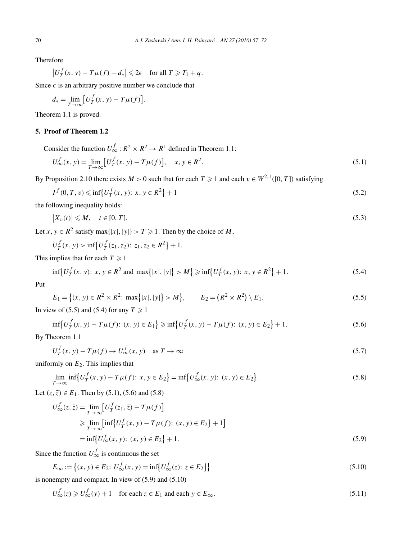Therefore

$$
\left|U_T^f(x, y) - T\mu(f) - d_*\right| \leq 2\epsilon \quad \text{for all } T \geq T_1 + q.
$$

Since  $\epsilon$  is an arbitrary positive number we conclude that

$$
d_* = \lim_{T \to \infty} \left[ U_T^f(x, y) - T\mu(f) \right].
$$

Theorem 1.1 is proved.

### **5. Proof of Theorem 1.2**

Consider the function  $U_{\infty}^f : R^2 \times R^2 \to R^1$  defined in Theorem 1.1:

$$
U_{\infty}^{f}(x, y) = \lim_{T \to \infty} [U_{T}^{f}(x, y) - T\mu(f)], \quad x, y \in R^{2}.
$$
\n(5.1)

By Proposition 2.10 there exists  $M > 0$  such that for each  $T \ge 1$  and each  $v \in W^{2,1}([0, T])$  satisfying

$$
I^{f}(0, T, v) \le \inf \{ U^{f}_{T}(x, y): x, y \in R^{2} \} + 1
$$
\n(5.2)

the following inequality holds:

$$
\left|X_v(t)\right| \leqslant M, \quad t \in [0, T]. \tag{5.3}
$$

Let *x*,  $y \in R^2$  satisfy max $\{|x|, |y|\} > T \ge 1$ . Then by the choice of *M*,

$$
U_T^f(x, y) > \inf \{ U_T^f(z_1, z_2): z_1, z_2 \in R^2 \} + 1.
$$

This implies that for each  $T \geq 1$ 

$$
\inf \{ U_T^f(x, y): x, y \in R^2 \text{ and } \max \{ |x|, |y| \} > M \} \ge \inf \{ U_T^f(x, y): x, y \in R^2 \} + 1. \tag{5.4}
$$

Put

$$
E_1 = \{(x, y) \in R^2 \times R^2 \colon \max\{|x|, |y|\} > M\}, \qquad E_2 = \left(R^2 \times R^2\right) \setminus E_1. \tag{5.5}
$$

In view of (5.5) and (5.4) for any  $T \ge 1$ 

$$
\inf \{ U_T^f(x, y) - T\mu(f) : (x, y) \in E_1 \} \ge \inf \{ U_T^f(x, y) - T\mu(f) : (x, y) \in E_2 \} + 1. \tag{5.6}
$$

By Theorem 1.1

$$
U_T^f(x, y) - T\mu(f) \to U_\infty^f(x, y) \quad \text{as } T \to \infty \tag{5.7}
$$

uniformly on  $E_2$ . This implies that

$$
\lim_{T \to \infty} \inf \{ U_T^f(x, y) - T\mu(f) : x, y \in E_2 \} = \inf \{ U_{\infty}^f(x, y) : (x, y) \in E_2 \}.
$$
\n(5.8)

Let  $(z, \bar{z}) \in E_1$ . Then by (5.1), (5.6) and (5.8)

$$
U_{\infty}^{f}(z, \bar{z}) = \lim_{T \to \infty} \left[ U_{T}^{f}(z_{1}, \bar{z}) - T\mu(f) \right]
$$
  
\n
$$
\geq \lim_{T \to \infty} \left[ \inf \{ U_{T}^{f}(x, y) - T\mu(f) : (x, y) \in E_{2} \} + 1 \right]
$$
  
\n
$$
= \inf \{ U_{\infty}^{f}(x, y) : (x, y) \in E_{2} \} + 1.
$$
 (5.9)

Since the function  $U^f_{\infty}$  is continuous the set

$$
E_{\infty} := \left\{ (x, y) \in E_2 : U_{\infty}^f(x, y) = \inf \left\{ U_{\infty}^f(z) : z \in E_2 \right\} \right\}
$$
\n(5.10)

is nonempty and compact. In view of (5.9) and (5.10)

$$
U_{\infty}^{f}(z) \geq U_{\infty}^{f}(y) + 1 \quad \text{for each } z \in E_1 \text{ and each } y \in E_{\infty}.
$$
 (5.11)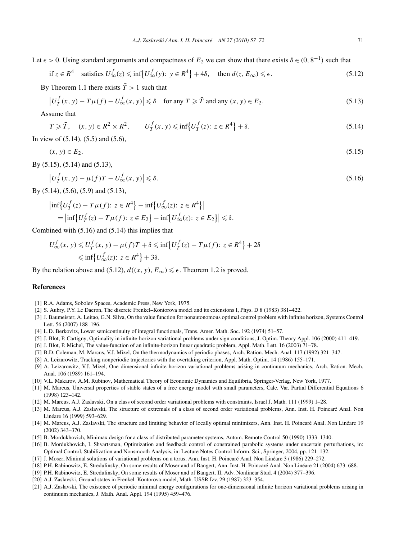Let  $\epsilon > 0$ . Using standard arguments and compactness of  $E_2$  we can show that there exists  $\delta \in (0, 8^{-1})$  such that

if 
$$
z \in R^4
$$
 satisfies  $U_{\infty}^f(z) \le \inf \{ U_{\infty}^f(y) : y \in R^4 \} + 4\delta$ , then  $d(z, E_{\infty}) \le \epsilon$ . (5.12)

By Theorem 1.1 there exists  $\overline{T} > 1$  such that

$$
\left|U^f_T(x,y) - T\mu(f) - U^f_\infty(x,y)\right| \leq \delta \quad \text{for any } T \geq \overline{T} \text{ and any } (x,y) \in E_2. \tag{5.13}
$$

Assume that

$$
T \geqslant \overline{T}, \quad (x, y) \in R^2 \times R^2, \qquad U_T^f(x, y) \leqslant \inf \{ U_T^f(z) : z \in R^4 \} + \delta. \tag{5.14}
$$

In view of (5.14), (5.5) and (5.6),

$$
(x, y) \in E_2. \tag{5.15}
$$

By (5.15), (5.14) and (5.13),

$$
\left|U_T^f(x,y) - \mu(f)T - U_\infty^f(x,y)\right| \le \delta. \tag{5.16}
$$

By (5.14), (5.6), (5.9) and (5.13),

$$
\begin{aligned} \left| \inf \left\{ U_T^f(z) - T\mu(f) : z \in R^4 \right\} - \inf \left\{ U_\infty^f(z) : z \in R^4 \right\} \right| \\ &= \left| \inf \left\{ U_T^f(z) - T\mu(f) : z \in E_2 \right\} - \inf \left\{ U_\infty^f(z) : z \in E_2 \right\} \right| \leq \delta. \end{aligned}
$$

Combined with (5.16) and (5.14) this implies that

$$
U_{\infty}^{f}(x, y) \le U_{T}^{f}(x, y) - \mu(f)T + \delta \le \inf\{U_{T}^{f}(z) - T\mu(f): z \in R^{4}\} + 2\delta
$$
  

$$
\le \inf\{U_{\infty}^{f}(z): z \in R^{4}\} + 3\delta.
$$

By the relation above and (5.12),  $d((x, y), E_{\infty}) \le \epsilon$ . Theorem 1.2 is proved.

#### **References**

- [1] R.A. Adams, Sobolev Spaces, Academic Press, New York, 1975.
- [2] S. Aubry, P.Y. Le Daeron, The discrete Frenkel–Kontorova model and its extensions I, Phys. D 8 (1983) 381–422.
- [3] J. Baumeister, A. Leitao, G.N. Silva, On the value function for nonautonomous optimal control problem with infinite horizon, Systems Control Lett. 56 (2007) 188–196.
- [4] L.D. Berkovitz, Lower semicontinuity of integral functionals, Trans. Amer. Math. Soc. 192 (1974) 51–57.
- [5] J. Blot, P. Cartigny, Optimality in infinite-horizon variational problems under sign conditions, J. Optim. Theory Appl. 106 (2000) 411–419.
- [6] J. Blot, P. Michel, The value-function of an infinite-horizon linear quadratic problem, Appl. Math. Lett. 16 (2003) 71–78.
- [7] B.D. Coleman, M. Marcus, V.J. Mizel, On the thermodynamics of periodic phases, Arch. Ration. Mech. Anal. 117 (1992) 321–347.
- [8] A. Leizarowitz, Tracking nonperiodic trajectories with the overtaking criterion, Appl. Math. Optim. 14 (1986) 155–171.
- [9] A. Leizarowitz, V.J. Mizel, One dimensional infinite horizon variational problems arising in continuum mechanics, Arch. Ration. Mech. Anal. 106 (1989) 161–194.
- [10] V.L. Makarov, A.M. Rubinov, Mathematical Theory of Economic Dynamics and Equilibria, Springer-Verlag, New York, 1977.
- [11] M. Marcus, Universal properties of stable states of a free energy model with small parameters, Calc. Var. Partial Differential Equations 6 (1998) 123–142.
- [12] M. Marcus, A.J. Zaslavski, On a class of second order variational problems with constraints, Israel J. Math. 111 (1999) 1–28.
- [13] M. Marcus, A.J. Zaslavski, The structure of extremals of a class of second order variational problems, Ann. Inst. H. Poincaré Anal. Non Linéare 16 (1999) 593–629.
- [14] M. Marcus, A.J. Zaslavski, The structure and limiting behavior of locally optimal minimizers, Ann. Inst. H. Poincaré Anal. Non Linéare 19 (2002) 343–370.
- [15] B. Mordukhovich, Minimax design for a class of distributed parameter systems, Autom. Remote Control 50 (1990) 1333–1340.
- [16] B. Mordukhovich, I. Shvartsman, Optimization and feedback control of constrained parabolic systems under uncertain perturbations, in: Optimal Control, Stabilization and Nonsmooth Analysis, in: Lecture Notes Control Inform. Sci., Springer, 2004, pp. 121–132.
- [17] J. Moser, Minimal solutions of variational problems on a torus, Ann. Inst. H. Poincaré Anal. Non Linéare 3 (1986) 229–272.
- [18] P.H. Rabinowitz, E. Stredulinsky, On some results of Moser and of Bangert, Ann. Inst. H. Poincaré Anal. Non Linéare 21 (2004) 673–688.
- [19] P.H. Rabinowitz, E. Stredulinsky, On some results of Moser and of Bangert. II, Adv. Nonlinear Stud. 4 (2004) 377–396.
- [20] A.J. Zaslavski, Ground states in Frenkel–Kontorova model, Math. USSR Izv. 29 (1987) 323–354.
- [21] A.J. Zaslavski, The existence of periodic minimal energy configurations for one-dimensional infinite horizon variational problems arising in continuum mechanics, J. Math. Anal. Appl. 194 (1995) 459–476.